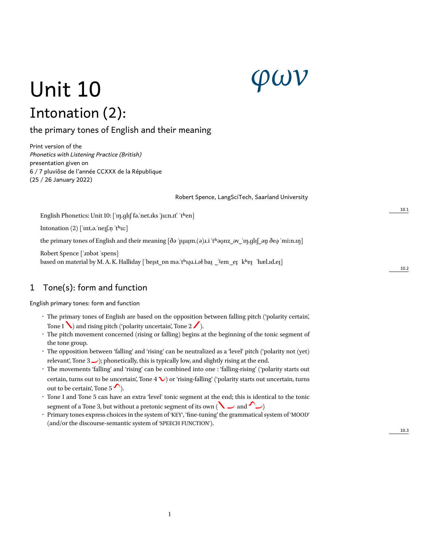# *φων*

## Unit 10 Intonation (2):

the primary tones of English and their meaning

Print version of the *Phonetics with Listening Practice (British)* presentation given on 6 / 7 pluviôse de l'année CCXXX de la République (25 / 26 January 2022)

Robert Spence, LangSciTech, Saarland University

English Phonetics: Unit 10: ['ɪŋ.ɡlɪʃ fə.'net.ɪks 'juːn.ɪt' 't<sup>h</sup>en]

Intonation  $(2)$  ['int.ə.'neileq.n 'thu:]

the primary tones of English and their meaning  $\delta \phi$  'p $\chi$ a $\mu$ .  $\phi$  and  $\chi$   $\chi$   $\chi$   $\chi$   $\eta$ .gl $\chi$   $\phi$   $\phi$   $\chi$   $\eta$   $\delta$   $\phi$   $\chi$   $\eta$   $\eta$ 

Robert Spence [ˈɹɒbət ˈspens] based on material by M. A. K. Halliday ['beɪ̯st ˌpn mə.'tʰɪə̯ɪ.i.əł baɪ̯ ˈʲem eɪ̯ kʰeɪ̯ ˈhæl.ɪd.eɪ̯]

### 1 Tone(s): form and function

English primary tones: form and function

- The primary tones of English are based on the opposition between falling pitch ('polarity certain', Tone 1  $\blacktriangle$ ) and rising pitch ('polarity uncertain', Tone 2  $\blacktriangle$ ).
- The pitch movement concerned (rising or falling) begins at the beginning of the tonic segment of the tone group.
- The opposition between 'falling' and 'rising' can be neutralized as a 'level' pitch ('polarity not (yet) relevant', Tone  $3 \rightarrow$ ); phonetically, this is typically low, and slightly rising at the end.
- The movements 'falling' and 'rising' can be combined into one : 'falling-rising' ('polarity starts out certain, turns out to be uncertain', Tone  $4 \vee$  or 'rising-falling' ('polarity starts out uncertain, turns out to be certain', Tone  $5'$ ).
- Tone 1 and Tone 5 can have an extra 'level' tonic segment at the end; this is identical to the tonic segment of a Tone 3, but without a pretonic segment of its own (  $\sum$  and  $\sum$  )
- Primary tones express choices in the system of 'KEY', 'fine-tuning' the grammatical system of 'MOOD' (and/or the discourse-semantic system of 'SPEECH FUNCTION').

10.3

10.1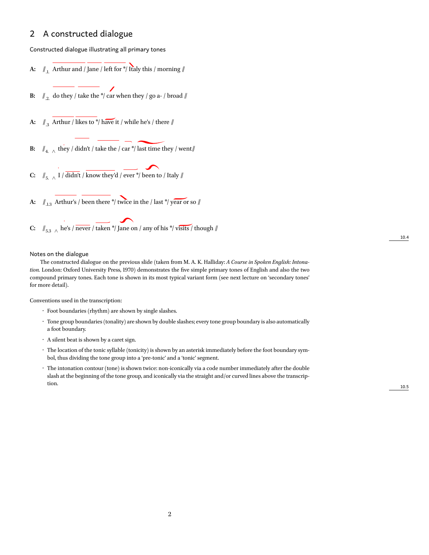#### 2 A constructed dialogue

Constructed dialogue illustrating all primary tones

**A:**  $\mathcal{N}_{1}$  Arthur and / Jane / left for  $*\!/\!$  Italy this / morning  $\mathcal{N}$ 

**B:**  $\mathbb{Z}_{2}$  do they / take the \*/ car when they / go a- / broad //

- **A:**  $\int_{.3}$  Arthur / likes to \*/ have it / while he's / there  $\int$
- **B:**  $\mathcal{U}_{4.}$   $\wedge$  they / didn't / take the / car \*/ last time they / went//
- **C:**  $\parallel f_{5.} \parallel$  I / didn't / know they'd / ever \*/ been to / Italy  $\parallel$
- **A:**  $\mathbb{I}_{1.3}$  Arthur's / been there \*/ twice in the / last \*/ year or so  $\mathbb{I}$
- **C:**  $\int_{5.3}$   $\wedge$  he's / never / taken \*/ Jane on / any of his \*/ visits / though  $\int$

#### Notes on the dialogue

The constructed dialogue on the previous slide (taken from M. A. K. Halliday: *A Course in Spoken English: Intonation.* London: Oxford University Press, 1970) demonstrates the five simple primary tones of English and also the two compound primary tones. Each tone is shown in its most typical variant form (see next lecture on 'secondary tones' for more detail).

Conventions used in the transcription:

- Foot boundaries (rhythm) are shown by single slashes.
- Tone group boundaries (tonality) are shown by double slashes; every tone group boundary is also automatically a foot boundary.
- A silent beat is shown by a caret sign.
- The location of the tonic syllable (tonicity) is shown by an asterisk immediately before the foot boundary symbol, thus dividing the tone group into a 'pre-tonic' and a 'tonic' segment.
- The intonation contour (tone) is shown twice: non-iconically via a code number immediately after the double slash at the beginning of the tone group, and iconically via the straight and/or curved lines above the transcription. 10.5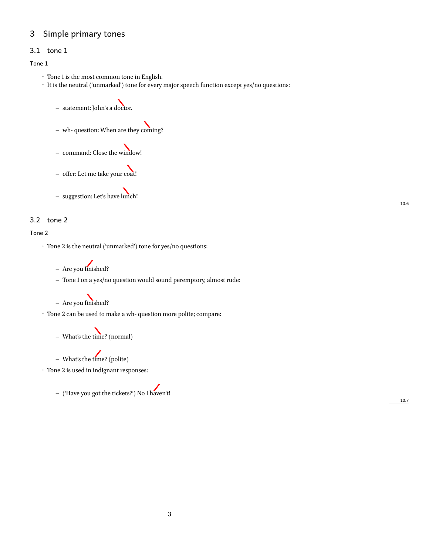#### 3 Simple primary tones

#### 3.1 tone 1

#### Tone 1

- Tone 1 is the most common tone in English.
- It is the neutral ('unmarked') tone for every major speech function except yes/no questions:
	- **–** statement: John's a doctor.
	- **–** wh- question: When are they coming?
	- **–** command: Close the window!
	- **–** offer: Let me take your coat!

**–** suggestion: Let's have lunch!

#### 3.2 tone 2

#### Tone 2

- Tone 2 is the neutral ('unmarked') tone for yes/no questions:
	- **–** Are you finished?
	- **–** Tone 1 on a yes/no question would sound peremptory, almost rude:

**–** Are you finished?

- Tone 2 can be used to make a wh- question more polite; compare:
	- **–** What's the time? (normal)

**–** What's the time? (polite)

 $\cdot \;$  Tone 2 is used in indignant responses:

**–** ('Have you got the tickets?') No I haven't!

10.7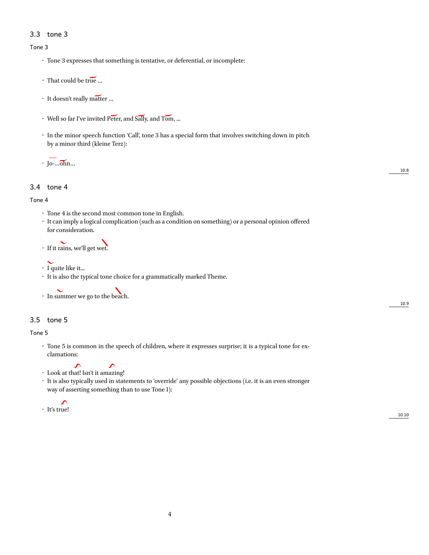#### 3.3 tone 3

#### Tone 3

- Tone 3 expresses that something is tentative, or deferential, or incomplete:
- That could be true …
- It doesn't really matter …
- Well so far I've invited Peter, and Sally, and Tom, ...
- In the minor speech function 'Call', tone 3 has a special form that involves switching down in pitch by a minor third (kleine Terz):

• Jo-…ohn…

#### 3.4 tone 4

#### Tone 4

- Tone 4 is the second most common tone in English.
- It can imply a logical complication (such as a condition on something) or a personal opinion offered for consideration.
- If it rains, we'll get wet.

#### • I quite like it...

• It is also the typical tone choice for a grammatically marked Theme.

• In summer we go to the beach.

#### 3.5 tone 5

Tone 5

- Tone 5 is common in the speech of children, where it expresses surprise; it is a typical tone for exclamations:
- Look at that! Isn't it amazing!
- It is also typically used in statements to 'override' any possible objections (i.e. it is an even stronger way of asserting something than to use Tone 1):
- ∽ • It's true!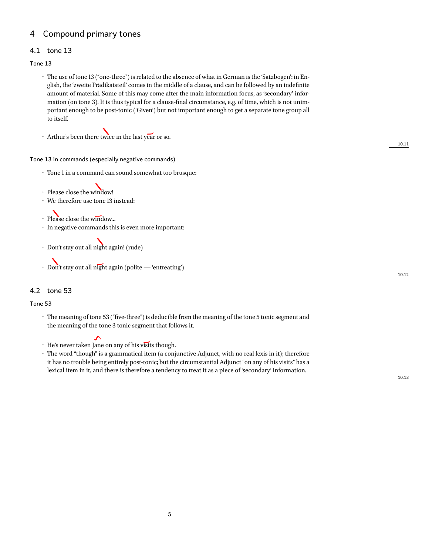#### 4 Compound primary tones

#### 4.1 tone 13

Tone 13

- The use of tone 13 ("one-three") is related to the absence of what in German is the 'Satzbogen': in English, the 'zweite Prädikatsteil' comes in the middle of a clause, and can be followed by an indefinite amount of material. Some of this may come after the main information focus, as 'secondary' information (on tone 3). It is thus typical for a clause-final circumstance, e.g. of time, which is not unimportant enough to be post-tonic ('Given') but not important enough to get a separate tone group all to itself.
- Arthur's been there twice in the last year or so.

#### Tone 13 in commands (especially negative commands)

- Tone 1 in a command can sound somewhat too brusque:
- Please close the window!
- We therefore use tone 13 instead:
- Please close the window...
- In negative commands this is even more important:
- Don't stay out all night again! (rude)
- Don't stay out all night again (polite 'entreating')

#### 4.2 tone 53

#### Tone 53

• The meaning of tone 53 ("five-three") is deducible from the meaning of the tone 5 tonic segment and the meaning of the tone 3 tonic segment that follows it.

- He's never taken Jane on any of his visits though.
- The word "though" is a grammatical item (a conjunctive Adjunct, with no real lexis in it); therefore it has no trouble being entirely post-tonic; but the circumstantial Adjunct "on any of his visits" has a lexical item in it, and there is therefore a tendency to treat it as a piece of 'secondary' information.

10.13

10.11